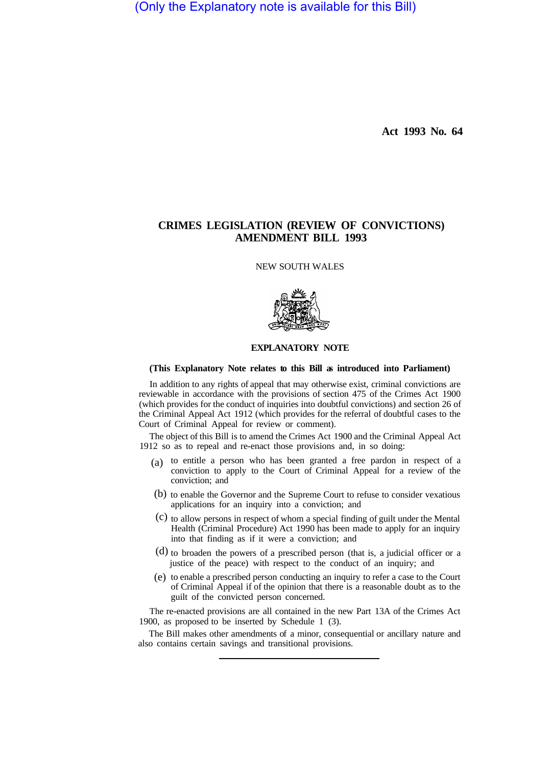(Only the Explanatory note is available for this Bill)

**Act 1993 No. 64** 

# **CRIMES LEGISLATION (REVIEW OF CONVICTIONS) AMENDMENT BILL 1993**

NEW SOUTH WALES



# **EXPLANATORY NOTE**

# **(This Explanatory Note relates to this Bill as introduced into Parliament)**

In addition to any rights of appeal that may otherwise exist, criminal convictions are reviewable in accordance with the provisions of section 475 of the Crimes Act 1900 (which provides for the conduct of inquiries into doubtful convictions) and section 26 of the Criminal Appeal Act 1912 (which provides for the referral of doubtful cases to the Court of Criminal Appeal for review or comment).

The object of this Bill is to amend the Crimes Act 1900 and the Criminal Appeal Act 1912 so as to repeal and re-enact those provisions and, in so doing:

- to entitle a person who has been granted a free pardon in respect of a (a) conviction to apply to the Court of Criminal Appeal for a review of the conviction; and
- (b) to enable the Governor and the Supreme Court to refuse to consider vexatious applications for an inquiry into a conviction; and
- $(c)$  to allow persons in respect of whom a special finding of guilt under the Mental Health (Criminal Procedure) Act 1990 has been made to apply for an inquiry into that finding as if it were a conviction; and
- $(d)$  to broaden the powers of a prescribed person (that is, a judicial officer or a justice of the peace) with respect to the conduct of an inquiry; and
- to enable a prescribed person conducting an inquiry to refer a case to the Court (e) of Criminal Appeal if of the opinion that there is a reasonable doubt as to the guilt of the convicted person concerned.

The re-enacted provisions are all contained in the new Part 13A of the Crimes Act 1900, as proposed to be inserted by Schedule 1 (3).

also contains certain savings and transitional provisions. The Bill makes other amendments of a minor, consequential or ancillary nature and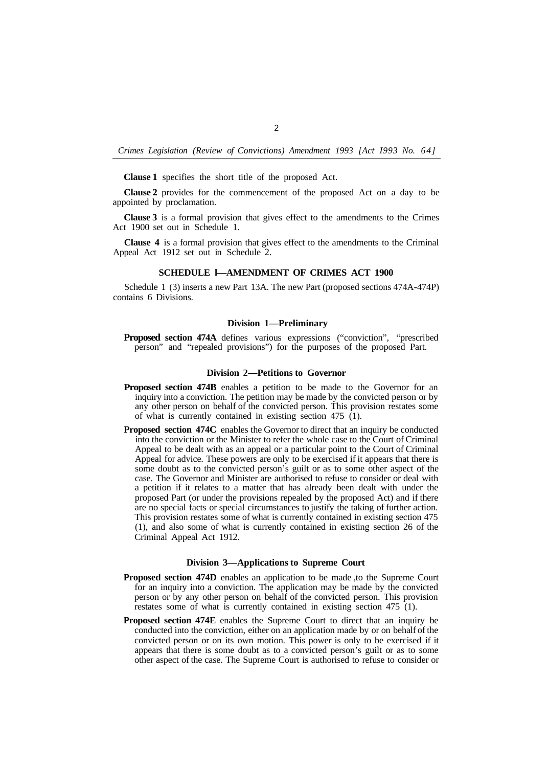*Crimes Legislation (Review of Convictions) Amendment 1993 [Act I993 No. 64]* 

**Clause 1** specifies the short title of the proposed Act.

**Clause 2** provides for the commencement of the proposed Act on a day to be appointed by proclamation.

**Clause 3** is a formal provision that gives effect to the amendments to the Crimes Act 1900 set out in Schedule 1.

**Clause 4** is a formal provision that gives effect to the amendments to the Criminal Appeal Act 1912 set out in Schedule 2.

## **SCHEDULE l—AMENDMENT OF CRIMES ACT 1900**

Schedule 1 (3) inserts a new Part 13A. The new Part (proposed sections 474A-474P) contains 6 Divisions.

#### **Division 1—Preliminary**

**Proposed section 474A** defines various expressions ("conviction", "prescribed person" and "repealed provisions") for the purposes of the proposed Part.

#### **Division 2—Petitions to Governor**

- **Proposed section 474B** enables a petition to be made to the Governor for an inquiry into a conviction. The petition may be made by the convicted person or by any other person on behalf of the convicted person. This provision restates some of what is currently contained in existing section 475 (1).
- **Proposed section 474C** enables the Governor to direct that an inquiry be conducted into the conviction or the Minister to refer the whole case to the Court of Criminal Appeal to be dealt with as an appeal or a particular point to the Court of Criminal Appeal for advice. These powers are only to be exercised if it appears that there is some doubt as to the convicted person's guilt or as to some other aspect of the case. The Governor and Minister are authorised to refuse to consider or deal with a petition if it relates to a matter that has already been dealt with under the proposed Part (or under the provisions repealed by the proposed Act) and if there are no special facts or special circumstances to justify the taking of further action. This provision restates some of what is currently contained in existing section 475 (1), and also some of what is currently contained in existing section 26 of the Criminal Appeal Act 1912.

# **Division 3—Applications to Supreme Court**

- **Proposed section 474D** enables an application to be made, to the Supreme Court for an inquiry into a conviction. The application may be made by the convicted person or by any other person on behalf of the convicted person. This provision restates some of what is currently contained in existing section 475 (1).
- **Proposed section 474E** enables the Supreme Court to direct that an inquiry be conducted into the conviction, either on an application made by or on behalf of the convicted person or on its own motion. This power is only to be exercised if it appears that there is some doubt as to a convicted person's guilt or as to some other aspect of the case. The Supreme Court is authorised to refuse to consider or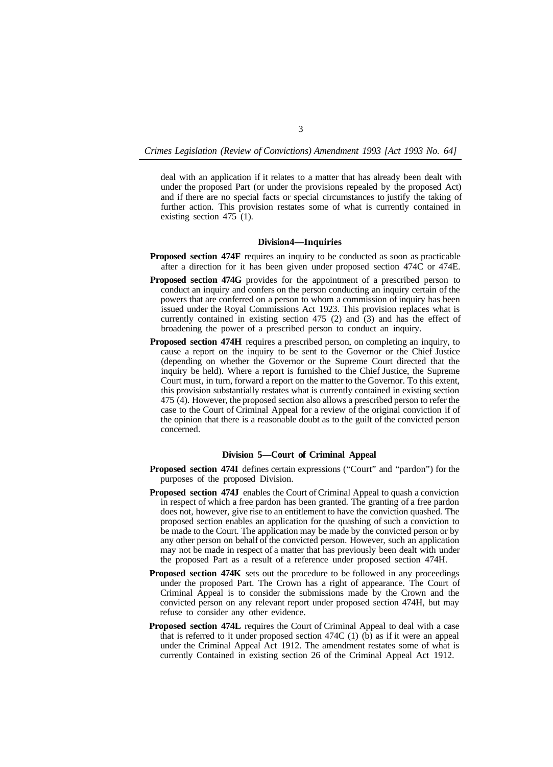*Crimes Legislation (Review of Convictions) Amendment 1993 [Act 1993 No. 64]* 

deal with an application if it relates to a matter that has already been dealt with under the proposed Part (or under the provisions repealed by the proposed Act) and if there are no special facts or special circumstances to justify the taking of further action. This provision restates some of what is currently contained in existing section 475 (1).

### **Division 4—Inquiries**

- **Proposed section 474F** requires an inquiry to be conducted as soon as practicable after a direction for it has been given under proposed section 474C or 474E.
- **Proposed section 474G** provides for the appointment of a prescribed person to conduct an inquiry and confers on the person conducting an inquiry certain of the powers that are conferred on a person to whom a commission of inquiry has been issued under the Royal Commissions Act 1923. This provision replaces what is currently contained in existing section 475 (2) and (3) and has the effect of broadening the power of a prescribed person to conduct an inquiry.
- **Proposed section 474H** requires a prescribed person, on completing an inquiry, to cause a report on the inquiry to be sent to the Governor or the Chief Justice (depending on whether the Governor or the Supreme Court directed that the inquiry be held). Where a report is furnished to the Chief Justice, the Supreme Court must, in turn, forward a report on the matter to the Governor. To this extent, this provision substantially restates what is currently contained in existing section 475 (4). However, the proposed section also allows a prescribed person to refer the case to the Court of Criminal Appeal for a review of the original conviction if of the opinion that there is a reasonable doubt as to the guilt of the convicted person concerned.

# **Division 5—Court of Criminal Appeal**

- **Proposed section 474I** defines certain expressions ("Court" and "pardon") for the purposes of the proposed Division.
- **Proposed section 474J** enables the Court of Criminal Appeal to quash a conviction in respect of which a free pardon has been granted. The granting of a free pardon does not, however, give rise to an entitlement to have the conviction quashed. The proposed section enables an application for the quashing of such a conviction to be made to the Court. The application may be made by the convicted person or by any other person on behalf of the convicted person. However, such an application may not be made in respect of a matter that has previously been dealt with under the proposed Part as a result of a reference under proposed section 474H.
- **Proposed section 474K** sets out the procedure to be followed in any proceedings under the proposed Part. The Crown has a right of appearance. The Court of Criminal Appeal is to consider the submissions made by the Crown and the convicted person on any relevant report under proposed section 474H, but may refuse to consider any other evidence.
- **Proposed section 474L** requires the Court of Criminal Appeal to deal with a case that is referred to it under proposed section 474C (1) (b) as if it were an appeal under the Criminal Appeal Act 1912. The amendment restates some of what is currently Contained in existing section 26 of the Criminal Appeal Act 1912.